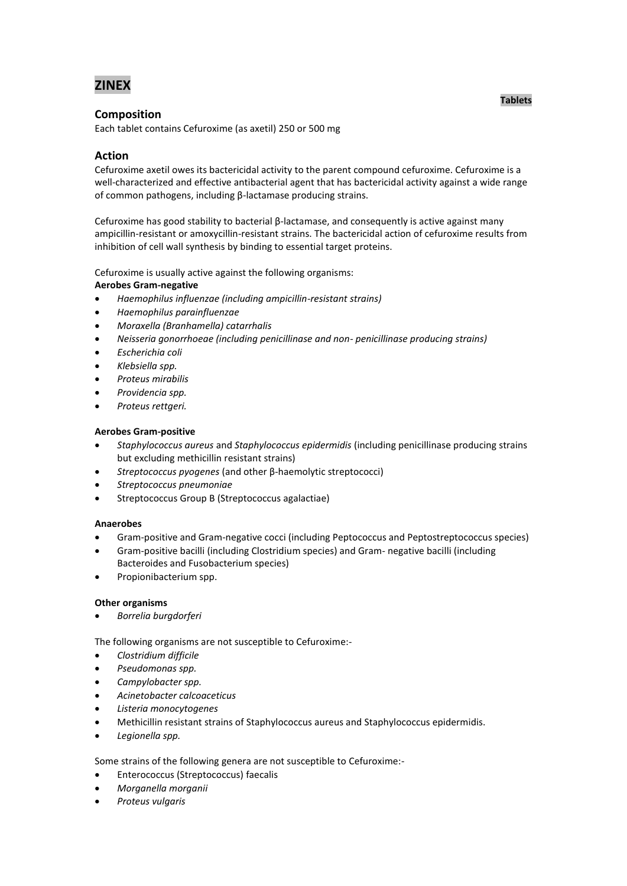# **ZINEX**

# **Composition**

Each tablet contains Cefuroxime (as axetil) 250 or 500 mg

# **Action**

Cefuroxime axetil owes its bactericidal activity to the parent compound cefuroxime. Cefuroxime is a well-characterized and effective antibacterial agent that has bactericidal activity against a wide range of common pathogens, including β-lactamase producing strains.

Cefuroxime has good stability to bacterial β-lactamase, and consequently is active against many ampicillin-resistant or amoxycillin-resistant strains. The bactericidal action of cefuroxime results from inhibition of cell wall synthesis by binding to essential target proteins.

Cefuroxime is usually active against the following organisms:

# **Aerobes Gram-negative**

- *Haemophilus influenzae (including ampicillin-resistant strains)*
- *Haemophilus parainfluenzae*
- *Moraxella (Branhamella) catarrhalis*
- *Neisseria gonorrhoeae (including penicillinase and non- penicillinase producing strains)*
- *Escherichia coli*
- *Klebsiella spp.*
- *Proteus mirabilis*
- *Providencia spp.*
- *Proteus rettgeri.*

# **Aerobes Gram-positive**

- *Staphylococcus aureus* and *Staphylococcus epidermidis* (including penicillinase producing strains but excluding methicillin resistant strains)
- *Streptococcus pyogenes* (and other β-haemolytic streptococci)
- *Streptococcus pneumoniae*
- Streptococcus Group B (Streptococcus agalactiae)

# **Anaerobes**

- Gram-positive and Gram-negative cocci (including Peptococcus and Peptostreptococcus species)
- Gram-positive bacilli (including Clostridium species) and Gram- negative bacilli (including Bacteroides and Fusobacterium species)
- Propionibacterium spp.

# **Other organisms**

*Borrelia burgdorferi* 

The following organisms are not susceptible to Cefuroxime:-

- *Clostridium difficile*
- *Pseudomonas spp.*
- *Campylobacter spp.*
- *Acinetobacter calcoaceticus*
- *Listeria monocytogenes*
- Methicillin resistant strains of Staphylococcus aureus and Staphylococcus epidermidis.
- *Legionella spp.*

Some strains of the following genera are not susceptible to Cefuroxime:-

- Enterococcus (Streptococcus) faecalis
- *Morganella morganii*
- *Proteus vulgaris*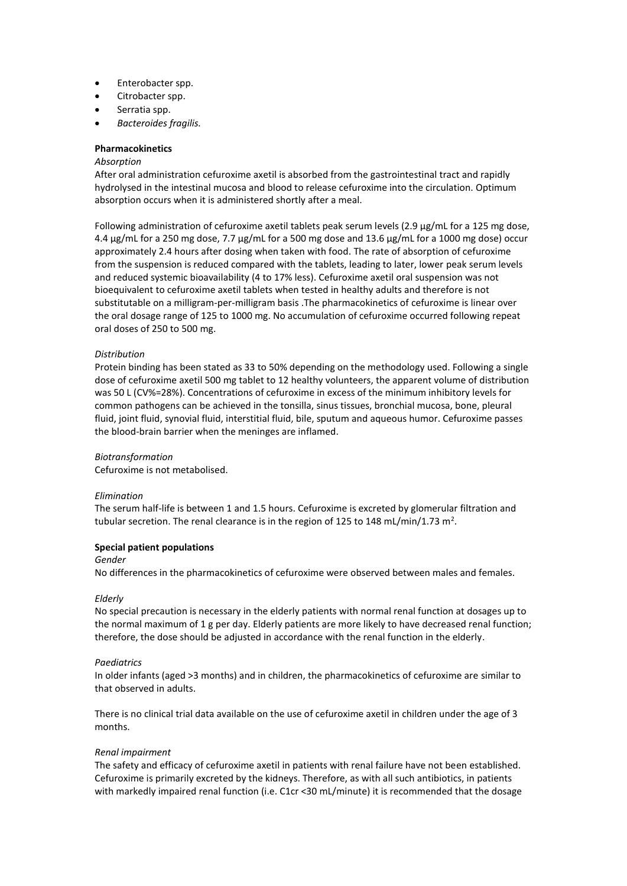- Enterobacter spp.
- Citrobacter spp.
- Serratia spp.
- *Bacteroides fragilis.*

### **Pharmacokinetics**

### *Absorption*

After oral administration cefuroxime axetil is absorbed from the gastrointestinal tract and rapidly hydrolysed in the intestinal mucosa and blood to release cefuroxime into the circulation. Optimum absorption occurs when it is administered shortly after a meal.

Following administration of cefuroxime axetil tablets peak serum levels (2.9 µg/mL for a 125 mg dose, 4.4 µg/mL for a 250 mg dose, 7.7 µg/mL for a 500 mg dose and 13.6 µg/mL for a 1000 mg dose) occur approximately 2.4 hours after dosing when taken with food. The rate of absorption of cefuroxime from the suspension is reduced compared with the tablets, leading to later, lower peak serum levels and reduced systemic bioavailability (4 to 17% less). Cefuroxime axetil oral suspension was not bioequivalent to cefuroxime axetil tablets when tested in healthy adults and therefore is not substitutable on a milligram-per-milligram basis .The pharmacokinetics of cefuroxime is linear over the oral dosage range of 125 to 1000 mg. No accumulation of cefuroxime occurred following repeat oral doses of 250 to 500 mg.

#### *Distribution*

Protein binding has been stated as 33 to 50% depending on the methodology used. Following a single dose of cefuroxime axetil 500 mg tablet to 12 healthy volunteers, the apparent volume of distribution was 50 L (CV%=28%). Concentrations of cefuroxime in excess of the minimum inhibitory levels for common pathogens can be achieved in the tonsilla, sinus tissues, bronchial mucosa, bone, pleural fluid, joint fluid, synovial fluid, interstitial fluid, bile, sputum and aqueous humor. Cefuroxime passes the blood-brain barrier when the meninges are inflamed.

### *Biotransformation*

Cefuroxime is not metabolised.

#### *Elimination*

The serum half-life is between 1 and 1.5 hours. Cefuroxime is excreted by glomerular filtration and tubular secretion. The renal clearance is in the region of 125 to 148 mL/min/1.73 m<sup>2</sup>.

#### **Special patient populations**

*Gender*

No differences in the pharmacokinetics of cefuroxime were observed between males and females.

### *Elderly*

No special precaution is necessary in the elderly patients with normal renal function at dosages up to the normal maximum of 1 g per day. Elderly patients are more likely to have decreased renal function; therefore, the dose should be adjusted in accordance with the renal function in the elderly.

### *Paediatrics*

In older infants (aged >3 months) and in children, the pharmacokinetics of cefuroxime are similar to that observed in adults.

There is no clinical trial data available on the use of cefuroxime axetil in children under the age of 3 months.

### *Renal impairment*

The safety and efficacy of cefuroxime axetil in patients with renal failure have not been established. Cefuroxime is primarily excreted by the kidneys. Therefore, as with all such antibiotics, in patients with markedly impaired renal function (i.e. C1cr <30 mL/minute) it is recommended that the dosage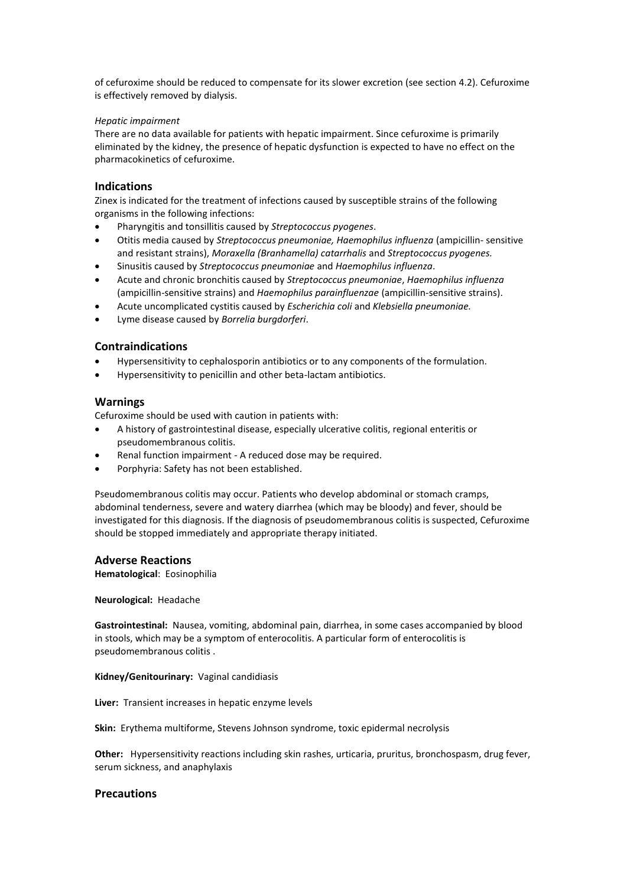of cefuroxime should be reduced to compensate for its slower excretion (see section 4.2). Cefuroxime is effectively removed by dialysis.

## *Hepatic impairment*

There are no data available for patients with hepatic impairment. Since cefuroxime is primarily eliminated by the kidney, the presence of hepatic dysfunction is expected to have no effect on the pharmacokinetics of cefuroxime.

# **Indications**

Zinex is indicated for the treatment of infections caused by susceptible strains of the following organisms in the following infections:

- Pharyngitis and tonsillitis caused by *Streptococcus pyogenes*.
- Otitis media caused by *Streptococcus pneumoniae, Haemophilus influenza* (ampicillin- sensitive and resistant strains), *Moraxella (Branhamella) catarrhalis* and *Streptococcus pyogenes.*
- Sinusitis caused by *Streptococcus pneumoniae* and *Haemophilus influenza*.
- Acute and chronic bronchitis caused by *Streptococcus pneumoniae*, *Haemophilus influenza*  (ampicillin-sensitive strains) and *Haemophilus parainfluenzae* (ampicillin-sensitive strains).
- Acute uncomplicated cystitis caused by *Escherichia coli* and *Klebsiella pneumoniae.*
- Lyme disease caused by *Borrelia burgdorferi*.

# **Contraindications**

- Hypersensitivity to cephalosporin antibiotics or to any components of the formulation.
- Hypersensitivity to penicillin and other beta-lactam antibiotics.

# **Warnings**

Cefuroxime should be used with caution in patients with:

- A history of gastrointestinal disease, especially ulcerative colitis, regional enteritis or pseudomembranous colitis.
- Renal function impairment A reduced dose may be required.
- Porphyria: Safety has not been established.

Pseudomembranous colitis may occur. Patients who develop abdominal or stomach cramps, abdominal tenderness, severe and watery diarrhea (which may be bloody) and fever, should be investigated for this diagnosis. If the diagnosis of pseudomembranous colitis is suspected, Cefuroxime should be stopped immediately and appropriate therapy initiated.

### **Adverse Reactions**

**Hematological**: Eosinophilia

### **Neurological:** Headache

**Gastrointestinal:** Nausea, vomiting, abdominal pain, diarrhea, in some cases accompanied by blood in stools, which may be a symptom of enterocolitis. A particular form of enterocolitis is pseudomembranous colitis .

### **Kidney/Genitourinary:** Vaginal candidiasis

**Liver:** Transient increases in hepatic enzyme levels

**Skin:** Erythema multiforme, Stevens Johnson syndrome, toxic epidermal necrolysis

**Other:** Hypersensitivity reactions including skin rashes, urticaria, pruritus, bronchospasm, drug fever, serum sickness, and anaphylaxis

## **Precautions**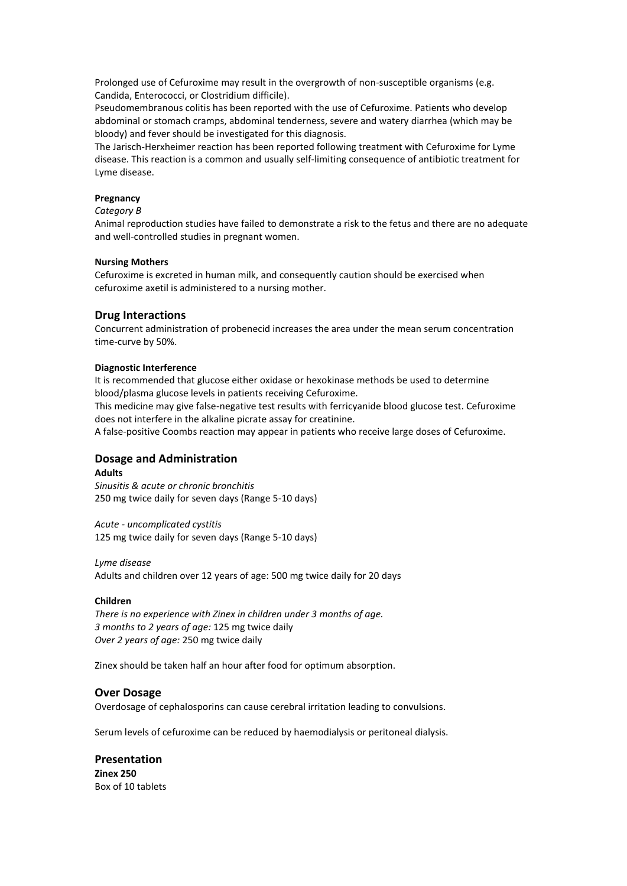Prolonged use of Cefuroxime may result in the overgrowth of non-susceptible organisms (e.g. Candida, Enterococci, or Clostridium difficile).

Pseudomembranous colitis has been reported with the use of Cefuroxime. Patients who develop abdominal or stomach cramps, abdominal tenderness, severe and watery diarrhea (which may be bloody) and fever should be investigated for this diagnosis.

The Jarisch-Herxheimer reaction has been reported following treatment with Cefuroxime for Lyme disease. This reaction is a common and usually self-limiting consequence of antibiotic treatment for Lyme disease.

## **Pregnancy**

#### *Category B*

Animal reproduction studies have failed to demonstrate a risk to the fetus and there are no adequate and well-controlled studies in pregnant women.

#### **Nursing Mothers**

Cefuroxime is excreted in human milk, and consequently caution should be exercised when cefuroxime axetil is administered to a nursing mother.

### **Drug Interactions**

Concurrent administration of probenecid increases the area under the mean serum concentration time-curve by 50%.

### **Diagnostic Interference**

It is recommended that glucose either oxidase or hexokinase methods be used to determine blood/plasma glucose levels in patients receiving Cefuroxime.

This medicine may give false-negative test results with ferricyanide blood glucose test. Cefuroxime does not interfere in the alkaline picrate assay for creatinine.

A false-positive Coombs reaction may appear in patients who receive large doses of Cefuroxime.

# **Dosage and Administration**

#### **Adults**

*Sinusitis & acute or chronic bronchitis* 250 mg twice daily for seven days (Range 5-10 days)

*Acute - uncomplicated cystitis* 125 mg twice daily for seven days (Range 5-10 days)

#### *Lyme disease*

Adults and children over 12 years of age: 500 mg twice daily for 20 days

### **Children**

*There is no experience with Zinex in children under 3 months of age. 3 months to 2 years of age:* 125 mg twice daily *Over 2 years of age:* 250 mg twice daily

Zinex should be taken half an hour after food for optimum absorption.

#### **Over Dosage**

Overdosage of cephalosporins can cause cerebral irritation leading to convulsions.

Serum levels of cefuroxime can be reduced by haemodialysis or peritoneal dialysis.

**Presentation Zinex 250**  Box of 10 tablets